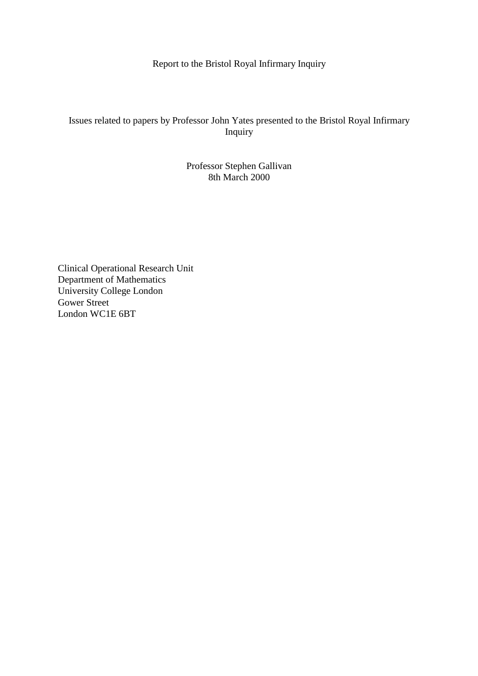Report to the Bristol Royal Infirmary Inquiry

# Issues related to papers by Professor John Yates presented to the Bristol Royal Infirmary Inquiry

# Professor Stephen Gallivan 8th March 2000

Clinical Operational Research Unit Department of Mathematics University College London Gower Street London WC1E 6BT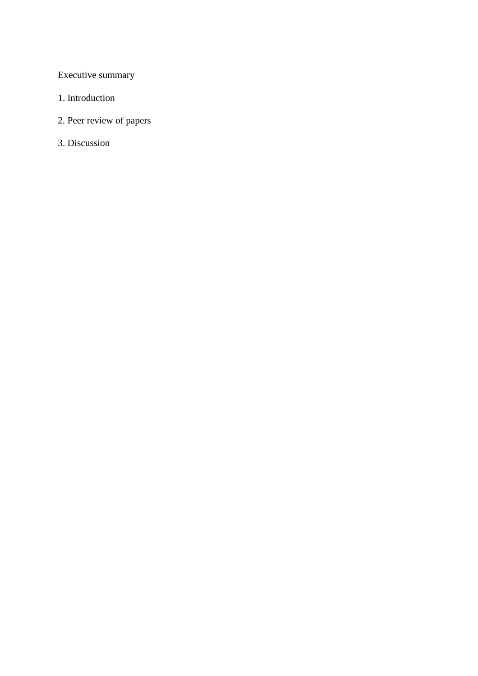Executive summary

- 1. Introduction
- 2. Peer review of papers
- 3. Discussion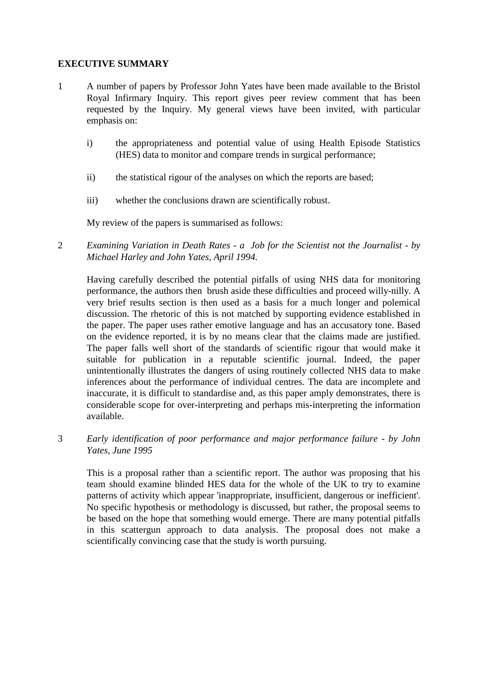# **EXECUTIVE SUMMARY**

- 1 A number of papers by Professor John Yates have been made available to the Bristol Royal Infirmary Inquiry. This report gives peer review comment that has been requested by the Inquiry. My general views have been invited, with particular emphasis on:
	- i) the appropriateness and potential value of using Health Episode Statistics (HES) data to monitor and compare trends in surgical performance;
	- ii) the statistical rigour of the analyses on which the reports are based;
	- iii) whether the conclusions drawn are scientifically robust.

My review of the papers is summarised as follows:

2 *Examining Variation in Death Rates - a Job for the Scientist not the Journalist - by Michael Harley and John Yates, April 1994.* 

Having carefully described the potential pitfalls of using NHS data for monitoring performance, the authors then brush aside these difficulties and proceed willy-nilly. A very brief results section is then used as a basis for a much longer and polemical discussion. The rhetoric of this is not matched by supporting evidence established in the paper. The paper uses rather emotive language and has an accusatory tone. Based on the evidence reported, it is by no means clear that the claims made are justified. The paper falls well short of the standards of scientific rigour that would make it suitable for publication in a reputable scientific journal. Indeed, the paper unintentionally illustrates the dangers of using routinely collected NHS data to make inferences about the performance of individual centres. The data are incomplete and inaccurate, it is difficult to standardise and, as this paper amply demonstrates, there is considerable scope for over-interpreting and perhaps mis-interpreting the information available.

3 *Early identification of poor performance and major performance failure - by John Yates, June 1995* 

This is a proposal rather than a scientific report. The author was proposing that his team should examine blinded HES data for the whole of the UK to try to examine patterns of activity which appear 'inappropriate, insufficient, dangerous or inefficient'. No specific hypothesis or methodology is discussed, but rather, the proposal seems to be based on the hope that something would emerge. There are many potential pitfalls in this scattergun approach to data analysis. The proposal does not make a scientifically convincing case that the study is worth pursuing.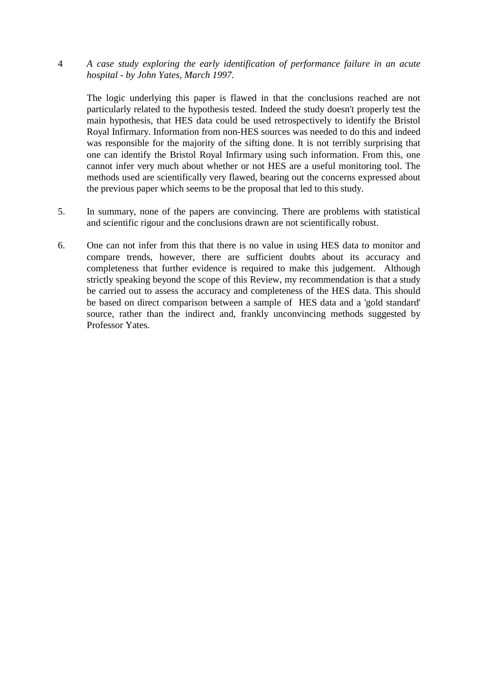4 *A case study exploring the early identification of performance failure in an acute hospital - by John Yates, March 1997.* 

The logic underlying this paper is flawed in that the conclusions reached are not particularly related to the hypothesis tested. Indeed the study doesn't properly test the main hypothesis, that HES data could be used retrospectively to identify the Bristol Royal Infirmary. Information from non-HES sources was needed to do this and indeed was responsible for the majority of the sifting done. It is not terribly surprising that one can identify the Bristol Royal Infirmary using such information. From this, one cannot infer very much about whether or not HES are a useful monitoring tool. The methods used are scientifically very flawed, bearing out the concerns expressed about the previous paper which seems to be the proposal that led to this study.

- 5. In summary, none of the papers are convincing. There are problems with statistical and scientific rigour and the conclusions drawn are not scientifically robust.
- 6. One can not infer from this that there is no value in using HES data to monitor and compare trends, however, there are sufficient doubts about its accuracy and completeness that further evidence is required to make this judgement. Although strictly speaking beyond the scope of this Review, my recommendation is that a study be carried out to assess the accuracy and completeness of the HES data. This should be based on direct comparison between a sample of HES data and a 'gold standard' source, rather than the indirect and, frankly unconvincing methods suggested by Professor Yates.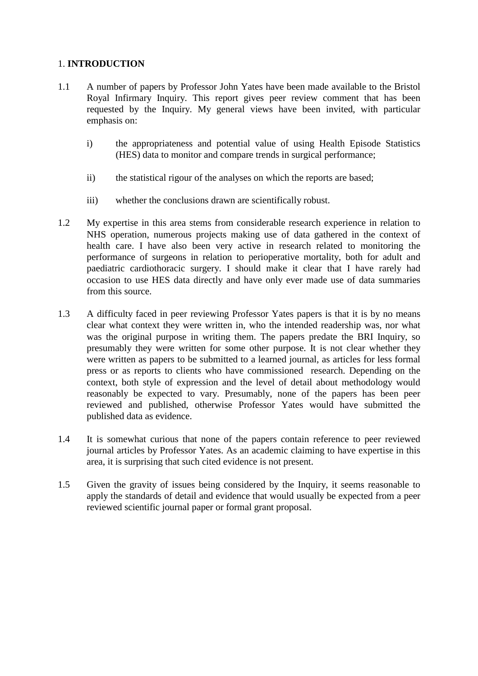# 1. **INTRODUCTION**

- 1.1 A number of papers by Professor John Yates have been made available to the Bristol Royal Infirmary Inquiry. This report gives peer review comment that has been requested by the Inquiry. My general views have been invited, with particular emphasis on:
	- i) the appropriateness and potential value of using Health Episode Statistics (HES) data to monitor and compare trends in surgical performance;
	- ii) the statistical rigour of the analyses on which the reports are based;
	- iii) whether the conclusions drawn are scientifically robust.
- 1.2 My expertise in this area stems from considerable research experience in relation to NHS operation, numerous projects making use of data gathered in the context of health care. I have also been very active in research related to monitoring the performance of surgeons in relation to perioperative mortality, both for adult and paediatric cardiothoracic surgery. I should make it clear that I have rarely had occasion to use HES data directly and have only ever made use of data summaries from this source.
- 1.3 A difficulty faced in peer reviewing Professor Yates papers is that it is by no means clear what context they were written in, who the intended readership was, nor what was the original purpose in writing them. The papers predate the BRI Inquiry, so presumably they were written for some other purpose. It is not clear whether they were written as papers to be submitted to a learned journal, as articles for less formal press or as reports to clients who have commissioned research. Depending on the context, both style of expression and the level of detail about methodology would reasonably be expected to vary. Presumably, none of the papers has been peer reviewed and published, otherwise Professor Yates would have submitted the published data as evidence.
- 1.4 It is somewhat curious that none of the papers contain reference to peer reviewed journal articles by Professor Yates. As an academic claiming to have expertise in this area, it is surprising that such cited evidence is not present.
- 1.5 Given the gravity of issues being considered by the Inquiry, it seems reasonable to apply the standards of detail and evidence that would usually be expected from a peer reviewed scientific journal paper or formal grant proposal.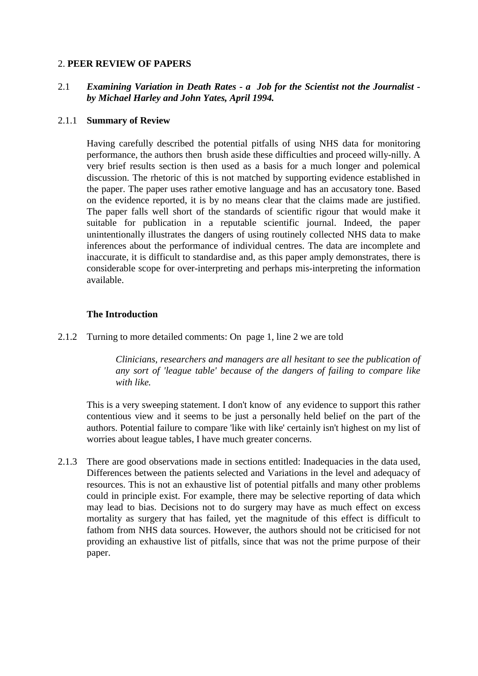### 2. **PEER REVIEW OF PAPERS**

# 2.1 *Examining Variation in Death Rates - a Job for the Scientist not the Journalist by Michael Harley and John Yates, April 1994.*

### 2.1.1 **Summary of Review**

Having carefully described the potential pitfalls of using NHS data for monitoring performance, the authors then brush aside these difficulties and proceed willy-nilly. A very brief results section is then used as a basis for a much longer and polemical discussion. The rhetoric of this is not matched by supporting evidence established in the paper. The paper uses rather emotive language and has an accusatory tone. Based on the evidence reported, it is by no means clear that the claims made are justified. The paper falls well short of the standards of scientific rigour that would make it suitable for publication in a reputable scientific journal. Indeed, the paper unintentionally illustrates the dangers of using routinely collected NHS data to make inferences about the performance of individual centres. The data are incomplete and inaccurate, it is difficult to standardise and, as this paper amply demonstrates, there is considerable scope for over-interpreting and perhaps mis-interpreting the information available.

#### **The Introduction**

2.1.2 Turning to more detailed comments: On page 1, line 2 we are told

*Clinicians, researchers and managers are all hesitant to see the publication of any sort of 'league table' because of the dangers of failing to compare like with like.* 

This is a very sweeping statement. I don't know of any evidence to support this rather contentious view and it seems to be just a personally held belief on the part of the authors. Potential failure to compare 'like with like' certainly isn't highest on my list of worries about league tables, I have much greater concerns.

2.1.3 There are good observations made in sections entitled: Inadequacies in the data used, Differences between the patients selected and Variations in the level and adequacy of resources. This is not an exhaustive list of potential pitfalls and many other problems could in principle exist. For example, there may be selective reporting of data which may lead to bias. Decisions not to do surgery may have as much effect on excess mortality as surgery that has failed, yet the magnitude of this effect is difficult to fathom from NHS data sources. However, the authors should not be criticised for not providing an exhaustive list of pitfalls, since that was not the prime purpose of their paper.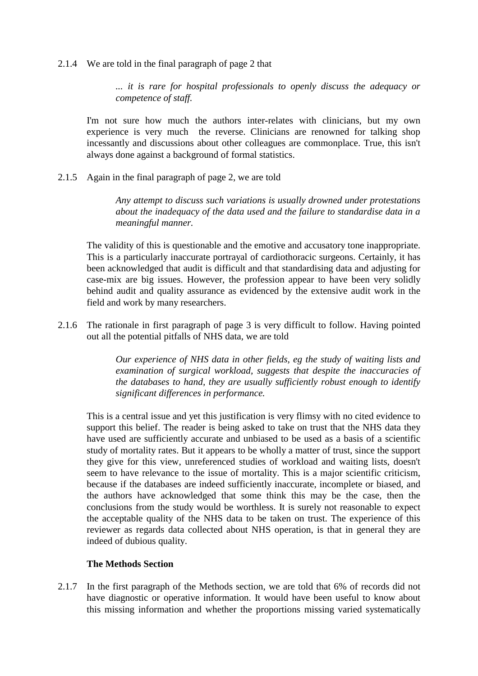#### 2.1.4 We are told in the final paragraph of page 2 that

*... it is rare for hospital professionals to openly discuss the adequacy or competence of staff.* 

I'm not sure how much the authors inter-relates with clinicians, but my own experience is very much the reverse. Clinicians are renowned for talking shop incessantly and discussions about other colleagues are commonplace. True, this isn't always done against a background of formal statistics.

2.1.5 Again in the final paragraph of page 2, we are told

*Any attempt to discuss such variations is usually drowned under protestations about the inadequacy of the data used and the failure to standardise data in a meaningful manner.* 

The validity of this is questionable and the emotive and accusatory tone inappropriate. This is a particularly inaccurate portrayal of cardiothoracic surgeons. Certainly, it has been acknowledged that audit is difficult and that standardising data and adjusting for case-mix are big issues. However, the profession appear to have been very solidly behind audit and quality assurance as evidenced by the extensive audit work in the field and work by many researchers.

2.1.6 The rationale in first paragraph of page 3 is very difficult to follow. Having pointed out all the potential pitfalls of NHS data, we are told

> *Our experience of NHS data in other fields, eg the study of waiting lists and examination of surgical workload, suggests that despite the inaccuracies of the databases to hand, they are usually sufficiently robust enough to identify significant differences in performance.*

This is a central issue and yet this justification is very flimsy with no cited evidence to support this belief. The reader is being asked to take on trust that the NHS data they have used are sufficiently accurate and unbiased to be used as a basis of a scientific study of mortality rates. But it appears to be wholly a matter of trust, since the support they give for this view, unreferenced studies of workload and waiting lists, doesn't seem to have relevance to the issue of mortality. This is a major scientific criticism, because if the databases are indeed sufficiently inaccurate, incomplete or biased, and the authors have acknowledged that some think this may be the case, then the conclusions from the study would be worthless. It is surely not reasonable to expect the acceptable quality of the NHS data to be taken on trust. The experience of this reviewer as regards data collected about NHS operation, is that in general they are indeed of dubious quality.

#### **The Methods Section**

2.1.7 In the first paragraph of the Methods section, we are told that 6% of records did not have diagnostic or operative information. It would have been useful to know about this missing information and whether the proportions missing varied systematically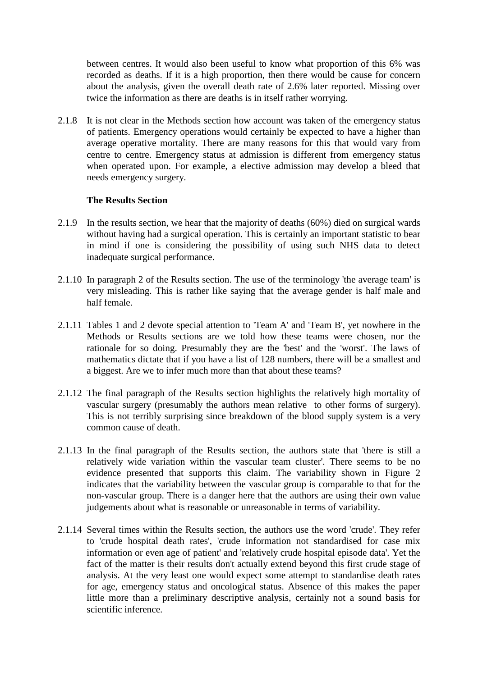between centres. It would also been useful to know what proportion of this 6% was recorded as deaths. If it is a high proportion, then there would be cause for concern about the analysis, given the overall death rate of 2.6% later reported. Missing over twice the information as there are deaths is in itself rather worrying.

2.1.8 It is not clear in the Methods section how account was taken of the emergency status of patients. Emergency operations would certainly be expected to have a higher than average operative mortality. There are many reasons for this that would vary from centre to centre. Emergency status at admission is different from emergency status when operated upon. For example, a elective admission may develop a bleed that needs emergency surgery.

### **The Results Section**

- 2.1.9 In the results section, we hear that the majority of deaths (60%) died on surgical wards without having had a surgical operation. This is certainly an important statistic to bear in mind if one is considering the possibility of using such NHS data to detect inadequate surgical performance.
- 2.1.10 In paragraph 2 of the Results section. The use of the terminology 'the average team' is very misleading. This is rather like saying that the average gender is half male and half female.
- 2.1.11 Tables 1 and 2 devote special attention to 'Team A' and 'Team B', yet nowhere in the Methods or Results sections are we told how these teams were chosen, nor the rationale for so doing. Presumably they are the 'best' and the 'worst'. The laws of mathematics dictate that if you have a list of 128 numbers, there will be a smallest and a biggest. Are we to infer much more than that about these teams?
- 2.1.12 The final paragraph of the Results section highlights the relatively high mortality of vascular surgery (presumably the authors mean relative to other forms of surgery). This is not terribly surprising since breakdown of the blood supply system is a very common cause of death.
- 2.1.13 In the final paragraph of the Results section, the authors state that 'there is still a relatively wide variation within the vascular team cluster'. There seems to be no evidence presented that supports this claim. The variability shown in Figure 2 indicates that the variability between the vascular group is comparable to that for the non-vascular group. There is a danger here that the authors are using their own value judgements about what is reasonable or unreasonable in terms of variability.
- 2.1.14 Several times within the Results section, the authors use the word 'crude'. They refer to 'crude hospital death rates', 'crude information not standardised for case mix information or even age of patient' and 'relatively crude hospital episode data'. Yet the fact of the matter is their results don't actually extend beyond this first crude stage of analysis. At the very least one would expect some attempt to standardise death rates for age, emergency status and oncological status. Absence of this makes the paper little more than a preliminary descriptive analysis, certainly not a sound basis for scientific inference.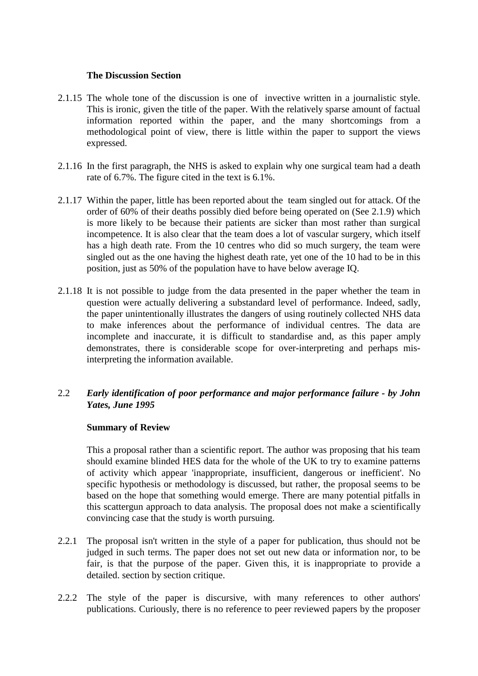### **The Discussion Section**

- 2.1.15 The whole tone of the discussion is one of invective written in a journalistic style. This is ironic, given the title of the paper. With the relatively sparse amount of factual information reported within the paper, and the many shortcomings from a methodological point of view, there is little within the paper to support the views expressed.
- 2.1.16 In the first paragraph, the NHS is asked to explain why one surgical team had a death rate of 6.7%. The figure cited in the text is 6.1%.
- 2.1.17 Within the paper, little has been reported about the team singled out for attack. Of the order of 60% of their deaths possibly died before being operated on (See 2.1.9) which is more likely to be because their patients are sicker than most rather than surgical incompetence. It is also clear that the team does a lot of vascular surgery, which itself has a high death rate. From the 10 centres who did so much surgery, the team were singled out as the one having the highest death rate, yet one of the 10 had to be in this position, just as 50% of the population have to have below average IQ.
- 2.1.18 It is not possible to judge from the data presented in the paper whether the team in question were actually delivering a substandard level of performance. Indeed, sadly, the paper unintentionally illustrates the dangers of using routinely collected NHS data to make inferences about the performance of individual centres. The data are incomplete and inaccurate, it is difficult to standardise and, as this paper amply demonstrates, there is considerable scope for over-interpreting and perhaps misinterpreting the information available.

# 2.2 *Early identification of poor performance and major performance failure - by John Yates, June 1995*

# **Summary of Review**

This a proposal rather than a scientific report. The author was proposing that his team should examine blinded HES data for the whole of the UK to try to examine patterns of activity which appear 'inappropriate, insufficient, dangerous or inefficient'. No specific hypothesis or methodology is discussed, but rather, the proposal seems to be based on the hope that something would emerge. There are many potential pitfalls in this scattergun approach to data analysis. The proposal does not make a scientifically convincing case that the study is worth pursuing.

- 2.2.1 The proposal isn't written in the style of a paper for publication, thus should not be judged in such terms. The paper does not set out new data or information nor, to be fair, is that the purpose of the paper. Given this, it is inappropriate to provide a detailed. section by section critique.
- 2.2.2 The style of the paper is discursive, with many references to other authors' publications. Curiously, there is no reference to peer reviewed papers by the proposer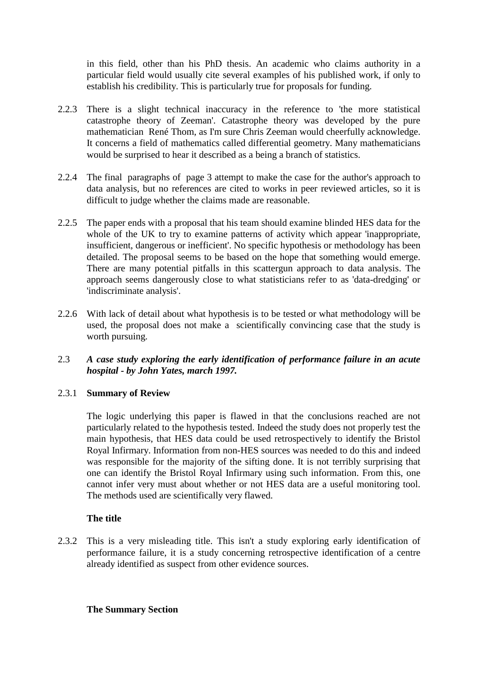in this field, other than his PhD thesis. An academic who claims authority in a particular field would usually cite several examples of his published work, if only to establish his credibility. This is particularly true for proposals for funding.

- 2.2.3 There is a slight technical inaccuracy in the reference to 'the more statistical catastrophe theory of Zeeman'. Catastrophe theory was developed by the pure mathematician René Thom, as I'm sure Chris Zeeman would cheerfully acknowledge. It concerns a field of mathematics called differential geometry. Many mathematicians would be surprised to hear it described as a being a branch of statistics.
- 2.2.4 The final paragraphs of page 3 attempt to make the case for the author's approach to data analysis, but no references are cited to works in peer reviewed articles, so it is difficult to judge whether the claims made are reasonable.
- 2.2.5 The paper ends with a proposal that his team should examine blinded HES data for the whole of the UK to try to examine patterns of activity which appear 'inappropriate, insufficient, dangerous or inefficient'. No specific hypothesis or methodology has been detailed. The proposal seems to be based on the hope that something would emerge. There are many potential pitfalls in this scattergun approach to data analysis. The approach seems dangerously close to what statisticians refer to as 'data-dredging' or 'indiscriminate analysis'.
- 2.2.6 With lack of detail about what hypothesis is to be tested or what methodology will be used, the proposal does not make a scientifically convincing case that the study is worth pursuing.
- 2.3 *A case study exploring the early identification of performance failure in an acute hospital - by John Yates, march 1997.*

# 2.3.1 **Summary of Review**

The logic underlying this paper is flawed in that the conclusions reached are not particularly related to the hypothesis tested. Indeed the study does not properly test the main hypothesis, that HES data could be used retrospectively to identify the Bristol Royal Infirmary. Information from non-HES sources was needed to do this and indeed was responsible for the majority of the sifting done. It is not terribly surprising that one can identify the Bristol Royal Infirmary using such information. From this, one cannot infer very must about whether or not HES data are a useful monitoring tool. The methods used are scientifically very flawed.

# **The title**

2.3.2 This is a very misleading title. This isn't a study exploring early identification of performance failure, it is a study concerning retrospective identification of a centre already identified as suspect from other evidence sources.

### **The Summary Section**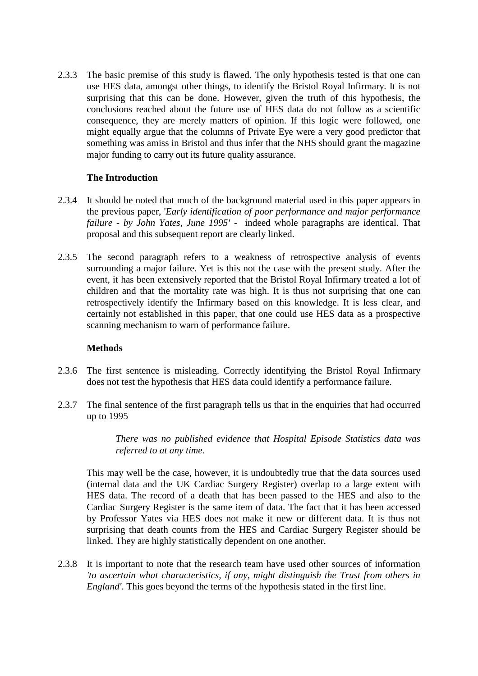2.3.3 The basic premise of this study is flawed. The only hypothesis tested is that one can use HES data, amongst other things, to identify the Bristol Royal Infirmary. It is not surprising that this can be done. However, given the truth of this hypothesis, the conclusions reached about the future use of HES data do not follow as a scientific consequence, they are merely matters of opinion. If this logic were followed, one might equally argue that the columns of Private Eye were a very good predictor that something was amiss in Bristol and thus infer that the NHS should grant the magazine major funding to carry out its future quality assurance.

# **The Introduction**

- 2.3.4 It should be noted that much of the background material used in this paper appears in the previous paper, '*Early identification of poor performance and major performance failure - by John Yates, June 1995' -* indeed whole paragraphs are identical. That proposal and this subsequent report are clearly linked.
- 2.3.5 The second paragraph refers to a weakness of retrospective analysis of events surrounding a major failure. Yet is this not the case with the present study. After the event, it has been extensively reported that the Bristol Royal Infirmary treated a lot of children and that the mortality rate was high. It is thus not surprising that one can retrospectively identify the Infirmary based on this knowledge. It is less clear, and certainly not established in this paper, that one could use HES data as a prospective scanning mechanism to warn of performance failure.

### **Methods**

- 2.3.6 The first sentence is misleading. Correctly identifying the Bristol Royal Infirmary does not test the hypothesis that HES data could identify a performance failure.
- 2.3.7 The final sentence of the first paragraph tells us that in the enquiries that had occurred up to 1995

*There was no published evidence that Hospital Episode Statistics data was referred to at any time.* 

This may well be the case, however, it is undoubtedly true that the data sources used (internal data and the UK Cardiac Surgery Register) overlap to a large extent with HES data. The record of a death that has been passed to the HES and also to the Cardiac Surgery Register is the same item of data. The fact that it has been accessed by Professor Yates via HES does not make it new or different data. It is thus not surprising that death counts from the HES and Cardiac Surgery Register should be linked. They are highly statistically dependent on one another.

2.3.8 It is important to note that the research team have used other sources of information *'to ascertain what characteristics, if any, might distinguish the Trust from others in England'*. This goes beyond the terms of the hypothesis stated in the first line.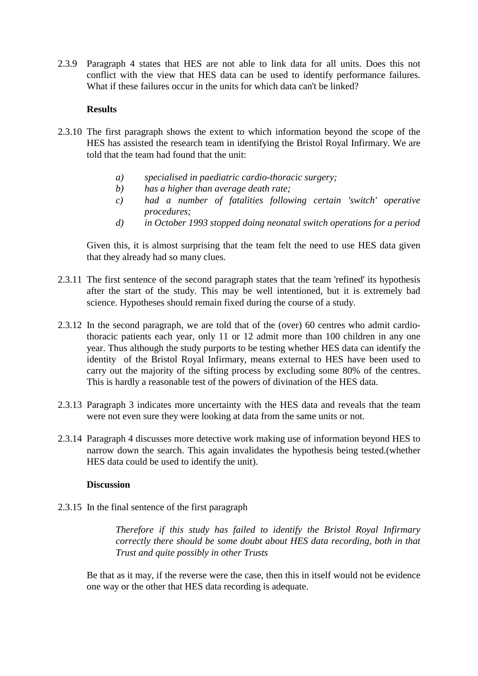2.3.9 Paragraph 4 states that HES are not able to link data for all units. Does this not conflict with the view that HES data can be used to identify performance failures. What if these failures occur in the units for which data can't be linked?

### **Results**

- 2.3.10 The first paragraph shows the extent to which information beyond the scope of the HES has assisted the research team in identifying the Bristol Royal Infirmary. We are told that the team had found that the unit:
	- *a) specialised in paediatric cardio-thoracic surgery;*
	- *b) has a higher than average death rate;*
	- *c) had a number of fatalities following certain 'switch' operative procedures;*
	- *d) in October 1993 stopped doing neonatal switch operations for a period*

Given this, it is almost surprising that the team felt the need to use HES data given that they already had so many clues.

- 2.3.11 The first sentence of the second paragraph states that the team 'refined' its hypothesis after the start of the study. This may be well intentioned, but it is extremely bad science. Hypotheses should remain fixed during the course of a study.
- 2.3.12 In the second paragraph, we are told that of the (over) 60 centres who admit cardiothoracic patients each year, only 11 or 12 admit more than 100 children in any one year. Thus although the study purports to be testing whether HES data can identify the identity of the Bristol Royal Infirmary, means external to HES have been used to carry out the majority of the sifting process by excluding some 80% of the centres. This is hardly a reasonable test of the powers of divination of the HES data.
- 2.3.13 Paragraph 3 indicates more uncertainty with the HES data and reveals that the team were not even sure they were looking at data from the same units or not.
- 2.3.14 Paragraph 4 discusses more detective work making use of information beyond HES to narrow down the search. This again invalidates the hypothesis being tested.(whether HES data could be used to identify the unit).

### **Discussion**

2.3.15 In the final sentence of the first paragraph

*Therefore if this study has failed to identify the Bristol Royal Infirmary correctly there should be some doubt about HES data recording, both in that Trust and quite possibly in other Trusts* 

Be that as it may, if the reverse were the case, then this in itself would not be evidence one way or the other that HES data recording is adequate.